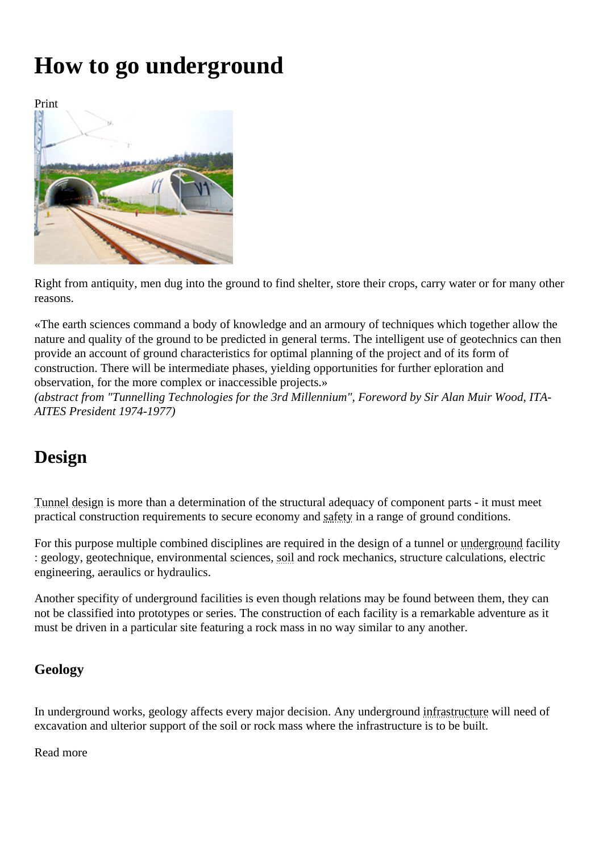# How to go underground

Print

Right from antiquity, men dug into the ground to find shelter, store their crops, carry water or fortheriny reasons.

«The earth sciences command a body of knowledge and an armoury of techniques which together allow the nature and quality of the ground to be predicted in general terms. The intelligent use of geotechnics can then provide an account of ground characteristics for optimal planning of the project and of its form of construction. There will be intermediate phases, yielding opportunities for further eploration and observation, for the more complex or inaccessible projects.» (abstract from "Tunnelling Technologies for the 3rd Millennium", Foreword by Sir Alan Muir Wood, ITA-AITES President 1974-1977)

# Design

Tunneldesignis more than a determination of the structural adequacy of component parts - it must meet practical construction requirements to secure economy and sample of ground conditions.

For this purpose multiple combined disciplines are required in the design of a tunnel egground acility : geology, geotechnique, environmental scienses and rock mechanics, structure calculations, electric engineering, aeraulics or hydraulics.

Another specifity of underground facilities is even though relations may be found between them, they can not be classified into prototypes or series. The construction of each facility is a remarkable adventure as it must be driven in a particular site featuring a rock mass in no way similar to any another.

## Geology

In underground works, geology affects every major decision. Any undergroture structure will need of excavation and ulterior support of the soil or rock mass where the infrastructure is to be built.

Read more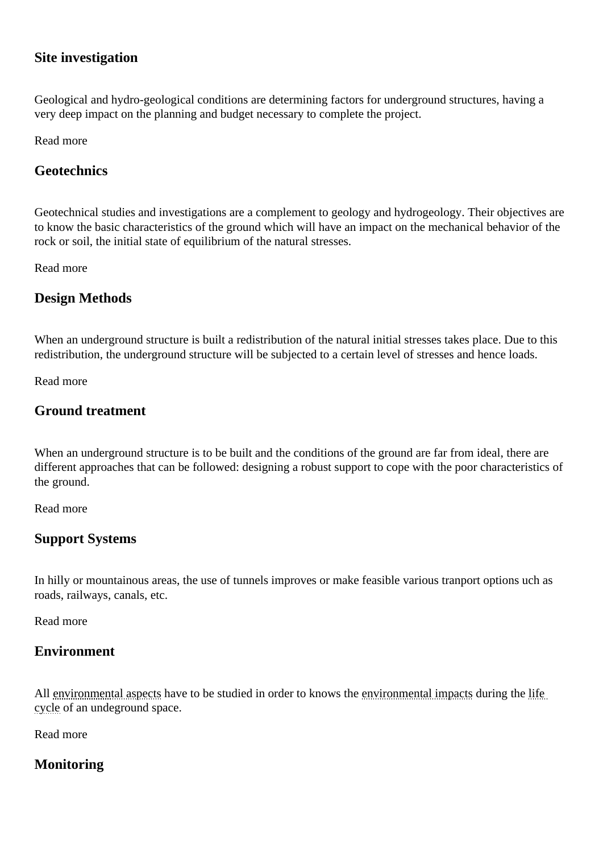#### Site investigation

Geological and hydro-geological conditions are determining factors for underground structures, having a very deep impact on the planning and budget necessary to complete the project.

Read more

**Geotechnics** 

Geotechnical studies and investigations are a complement to geology and hydrogeology. Their objectives are to know the basic characteristics of the ground which will have an impact on the mechanical behavior of the rock or soil, the initial state of equilibrium of the natural stresses.

Read more

Design Methods

When an underground structure is built a redistribution of the natural initial stresses takes place. Due to this redistribution, the underground structure will be subjected to a certain level of stresses and hence loads.

Read more

Ground treatment

When an underground structure is to be built and the conditions of the ground are far from ideal, there are different approaches that can be followed: designing a robust support to cope with the poor characteristics of the ground.

Read more

Support Systems

In hilly or mountainous areas, the use of tunnels improves or make feasible various tranport options uch as roads, railways, canals, etc.

Read more

### **Environment**

All environmental aspects ave to be studied in order to knows the ironmental impacts uring the life cycle of an undeground space.

Read more

**Monitoring**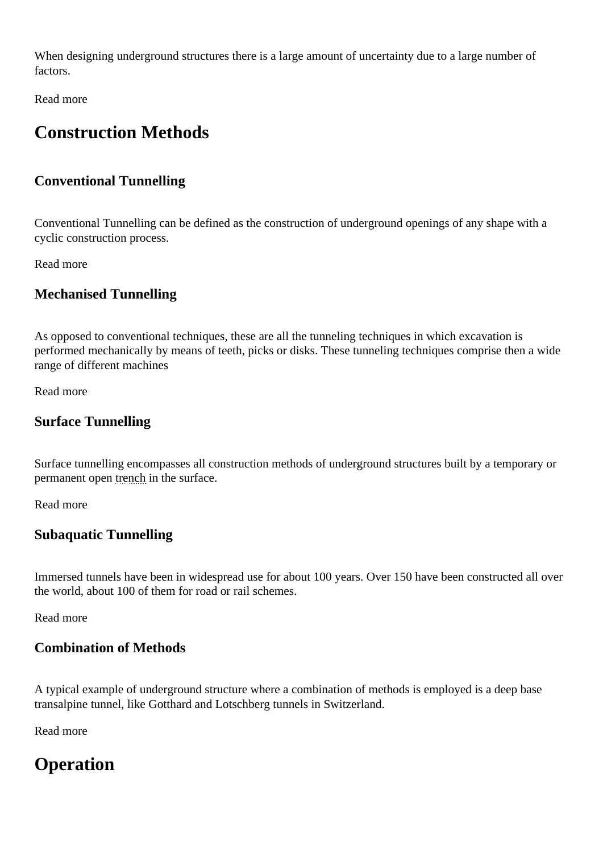When designing underground structures there is a large amount of uncertainty due to a large number of factors.

Read more

# Construction Methods

Conventional Tunnelling

Conventional Tunnelling can be defined as the construction of underground openings of any shape with a cyclic construction process.

Read more

Mechanised Tunnelling

As opposed to conventional techniques, these are all the tunneling techniques in which excavation is performed mechanically by means of teeth, picks or disks. These tunneling techniques comprise then a wide range of different machines

Read more

Surface Tunnelling

Surface tunnelling encompasses all construction methods of underground structures built by a temporary or permanent open tench in the surface.

Read more

Subaquatic Tunnelling

Immersed tunnels have been in widespread use for about 100 years. Over 150 have been constructed all over the world, about 100 of them for road or rail schemes.

Read more

Combination of Methods

A typical example of underground structure where a combination of methods is employed is a deep base transalpine tunnel, like Gotthard and Lotschberg tunnels in Switzerland.

Read more

**Operation**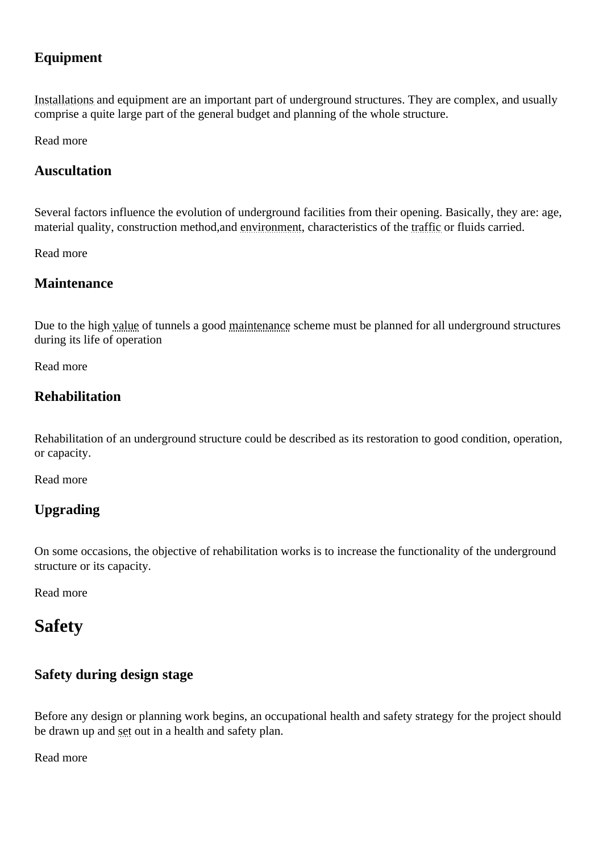#### Equipment

Installations and equipment are an important part of underground structures. They are complex, and usually comprise a quite large part of the general budget and planning of the whole structure.

Read more

Auscultation

Several factors influence the evolution of underground facilities from their opening. Basically, they are: age, material quality, construction method, and inconment characteristics of the affic or fluids carried.

Read more

Maintenance

Due to the high alue of tunnels a gooth aintenance cheme must be planned for all underground structures during its life of operation

Read more

**Rehabilitation** 

Rehabilitation of an underground structure could be described as its restoration to good condition, operation, or capacity.

Read more

Upgrading

On some occasions, the objective of rehabilitation works is to increase the functionality of the underground structure or its capacity.

Read more

Safety

Safety during design stage

Before any design or planning work begins, an occupational health and safety strategy for the project should be drawn up and etout in a health and safety plan.

Read more